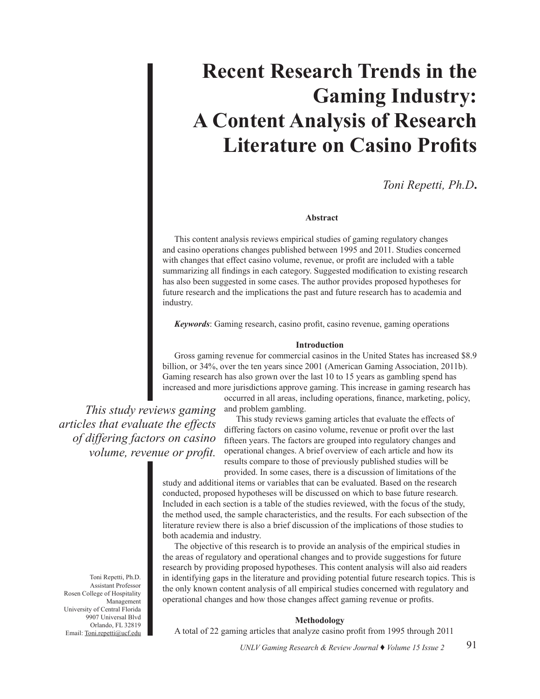# **Recent Research Trends in the Gaming Industry: A Content Analysis of Research Literature on Casino Profits**

*Toni Repetti, Ph.D***.**

# **Abstract**

This content analysis reviews empirical studies of gaming regulatory changes and casino operations changes published between 1995 and 2011. Studies concerned with changes that effect casino volume, revenue, or profit are included with a table summarizing all findings in each category. Suggested modification to existing research has also been suggested in some cases. The author provides proposed hypotheses for future research and the implications the past and future research has to academia and industry.

*Keywords*: Gaming research, casino profit, casino revenue, gaming operations

## **Introduction**

Gross gaming revenue for commercial casinos in the United States has increased \$8.9 billion, or 34%, over the ten years since 2001 (American Gaming Association, 2011b). Gaming research has also grown over the last 10 to 15 years as gambling spend has increased and more jurisdictions approve gaming. This increase in gaming research has

occurred in all areas, including operations, finance, marketing, policy, *This study reviews gaming articles that evaluate the effects of differing factors on casino volume, revenue or profit.* 

and problem gambling.

This study reviews gaming articles that evaluate the effects of differing factors on casino volume, revenue or profit over the last fifteen years. The factors are grouped into regulatory changes and operational changes. A brief overview of each article and how its results compare to those of previously published studies will be provided. In some cases, there is a discussion of limitations of the

study and additional items or variables that can be evaluated. Based on the research conducted, proposed hypotheses will be discussed on which to base future research. Included in each section is a table of the studies reviewed, with the focus of the study, the method used, the sample characteristics, and the results. For each subsection of the literature review there is also a brief discussion of the implications of those studies to both academia and industry.

The objective of this research is to provide an analysis of the empirical studies in the areas of regulatory and operational changes and to provide suggestions for future research by providing proposed hypotheses. This content analysis will also aid readers in identifying gaps in the literature and providing potential future research topics. This is the only known content analysis of all empirical studies concerned with regulatory and operational changes and how those changes affect gaming revenue or profits.

#### **Methodology**

A total of 22 gaming articles that analyze casino profit from 1995 through 2011

Toni Repetti, Ph.D. Assistant Professor Rosen College of Hospitality Management University of Central Florida 9907 Universal Blvd Orlando, FL 32819 Email: Toni.repetti@ucf.edu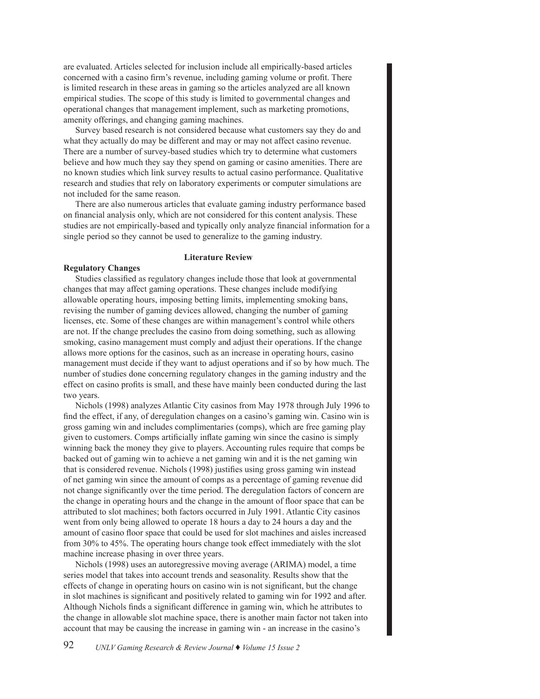are evaluated. Articles selected for inclusion include all empirically-based articles concerned with a casino firm's revenue, including gaming volume or profit. There is limited research in these areas in gaming so the articles analyzed are all known empirical studies. The scope of this study is limited to governmental changes and operational changes that management implement, such as marketing promotions, amenity offerings, and changing gaming machines.

Survey based research is not considered because what customers say they do and what they actually do may be different and may or may not affect casino revenue. There are a number of survey-based studies which try to determine what customers believe and how much they say they spend on gaming or casino amenities. There are no known studies which link survey results to actual casino performance. Qualitative research and studies that rely on laboratory experiments or computer simulations are not included for the same reason.

There are also numerous articles that evaluate gaming industry performance based on financial analysis only, which are not considered for this content analysis. These studies are not empirically-based and typically only analyze financial information for a single period so they cannot be used to generalize to the gaming industry.

# **Literature Review**

### **Regulatory Changes**

Studies classified as regulatory changes include those that look at governmental changes that may affect gaming operations. These changes include modifying allowable operating hours, imposing betting limits, implementing smoking bans, revising the number of gaming devices allowed, changing the number of gaming licenses, etc. Some of these changes are within management's control while others are not. If the change precludes the casino from doing something, such as allowing smoking, casino management must comply and adjust their operations. If the change allows more options for the casinos, such as an increase in operating hours, casino management must decide if they want to adjust operations and if so by how much. The number of studies done concerning regulatory changes in the gaming industry and the effect on casino profits is small, and these have mainly been conducted during the last two years.

Nichols (1998) analyzes Atlantic City casinos from May 1978 through July 1996 to find the effect, if any, of deregulation changes on a casino's gaming win. Casino win is gross gaming win and includes complimentaries (comps), which are free gaming play given to customers. Comps artificially inflate gaming win since the casino is simply winning back the money they give to players. Accounting rules require that comps be backed out of gaming win to achieve a net gaming win and it is the net gaming win that is considered revenue. Nichols (1998) justifies using gross gaming win instead of net gaming win since the amount of comps as a percentage of gaming revenue did not change significantly over the time period. The deregulation factors of concern are the change in operating hours and the change in the amount of floor space that can be attributed to slot machines; both factors occurred in July 1991. Atlantic City casinos went from only being allowed to operate 18 hours a day to 24 hours a day and the amount of casino floor space that could be used for slot machines and aisles increased from 30% to 45%. The operating hours change took effect immediately with the slot machine increase phasing in over three years.

Nichols (1998) uses an autoregressive moving average (ARIMA) model, a time series model that takes into account trends and seasonality. Results show that the effects of change in operating hours on casino win is not significant, but the change in slot machines is significant and positively related to gaming win for 1992 and after. Although Nichols finds a significant difference in gaming win, which he attributes to the change in allowable slot machine space, there is another main factor not taken into account that may be causing the increase in gaming win - an increase in the casino's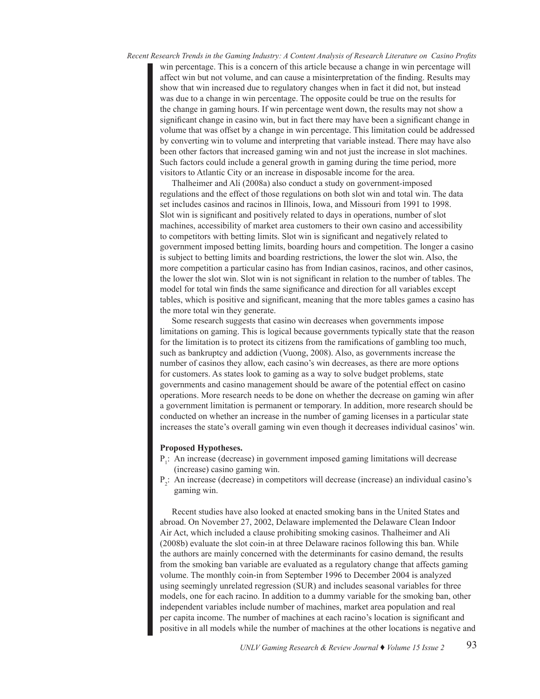*Recent Research Trends in the Gaming Industry: A Content Analysis of Research Literature on Casino Profits* win percentage. This is a concern of this article because a change in win percentage will affect win but not volume, and can cause a misinterpretation of the finding. Results may show that win increased due to regulatory changes when in fact it did not, but instead was due to a change in win percentage. The opposite could be true on the results for the change in gaming hours. If win percentage went down, the results may not show a significant change in casino win, but in fact there may have been a significant change in volume that was offset by a change in win percentage. This limitation could be addressed by converting win to volume and interpreting that variable instead. There may have also been other factors that increased gaming win and not just the increase in slot machines. Such factors could include a general growth in gaming during the time period, more visitors to Atlantic City or an increase in disposable income for the area.

Thalheimer and Ali (2008a) also conduct a study on government-imposed regulations and the effect of those regulations on both slot win and total win. The data set includes casinos and racinos in Illinois, Iowa, and Missouri from 1991 to 1998. Slot win is significant and positively related to days in operations, number of slot machines, accessibility of market area customers to their own casino and accessibility to competitors with betting limits. Slot win is significant and negatively related to government imposed betting limits, boarding hours and competition. The longer a casino is subject to betting limits and boarding restrictions, the lower the slot win. Also, the more competition a particular casino has from Indian casinos, racinos, and other casinos, the lower the slot win. Slot win is not significant in relation to the number of tables. The model for total win finds the same significance and direction for all variables except tables, which is positive and significant, meaning that the more tables games a casino has the more total win they generate.

Some research suggests that casino win decreases when governments impose limitations on gaming. This is logical because governments typically state that the reason for the limitation is to protect its citizens from the ramifications of gambling too much, such as bankruptcy and addiction (Vuong, 2008). Also, as governments increase the number of casinos they allow, each casino's win decreases, as there are more options for customers. As states look to gaming as a way to solve budget problems, state governments and casino management should be aware of the potential effect on casino operations. More research needs to be done on whether the decrease on gaming win after a government limitation is permanent or temporary. In addition, more research should be conducted on whether an increase in the number of gaming licenses in a particular state increases the state's overall gaming win even though it decreases individual casinos' win.

# **Proposed Hypotheses.**

- $P_1$ : An increase (decrease) in government imposed gaming limitations will decrease (increase) casino gaming win.
- $P_2$ : An increase (decrease) in competitors will decrease (increase) an individual casino's gaming win.

Recent studies have also looked at enacted smoking bans in the United States and abroad. On November 27, 2002, Delaware implemented the Delaware Clean Indoor Air Act, which included a clause prohibiting smoking casinos. Thalheimer and Ali (2008b) evaluate the slot coin-in at three Delaware racinos following this ban. While the authors are mainly concerned with the determinants for casino demand, the results from the smoking ban variable are evaluated as a regulatory change that affects gaming volume. The monthly coin-in from September 1996 to December 2004 is analyzed using seemingly unrelated regression (SUR) and includes seasonal variables for three models, one for each racino. In addition to a dummy variable for the smoking ban, other independent variables include number of machines, market area population and real per capita income. The number of machines at each racino's location is significant and positive in all models while the number of machines at the other locations is negative and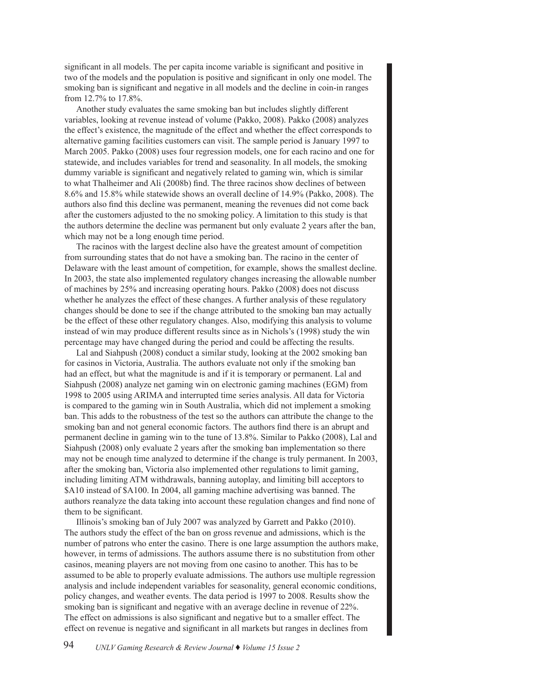significant in all models. The per capita income variable is significant and positive in two of the models and the population is positive and significant in only one model. The smoking ban is significant and negative in all models and the decline in coin-in ranges from 12.7% to 17.8%.

Another study evaluates the same smoking ban but includes slightly different variables, looking at revenue instead of volume (Pakko, 2008). Pakko (2008) analyzes the effect's existence, the magnitude of the effect and whether the effect corresponds to alternative gaming facilities customers can visit. The sample period is January 1997 to March 2005. Pakko (2008) uses four regression models, one for each racino and one for statewide, and includes variables for trend and seasonality. In all models, the smoking dummy variable is significant and negatively related to gaming win, which is similar to what Thalheimer and Ali (2008b) find. The three racinos show declines of between 8.6% and 15.8% while statewide shows an overall decline of 14.9% (Pakko, 2008). The authors also find this decline was permanent, meaning the revenues did not come back after the customers adjusted to the no smoking policy. A limitation to this study is that the authors determine the decline was permanent but only evaluate 2 years after the ban, which may not be a long enough time period.

The racinos with the largest decline also have the greatest amount of competition from surrounding states that do not have a smoking ban. The racino in the center of Delaware with the least amount of competition, for example, shows the smallest decline. In 2003, the state also implemented regulatory changes increasing the allowable number of machines by 25% and increasing operating hours. Pakko (2008) does not discuss whether he analyzes the effect of these changes. A further analysis of these regulatory changes should be done to see if the change attributed to the smoking ban may actually be the effect of these other regulatory changes. Also, modifying this analysis to volume instead of win may produce different results since as in Nichols's (1998) study the win percentage may have changed during the period and could be affecting the results.

Lal and Siahpush (2008) conduct a similar study, looking at the 2002 smoking ban for casinos in Victoria, Australia. The authors evaluate not only if the smoking ban had an effect, but what the magnitude is and if it is temporary or permanent. Lal and Siahpush (2008) analyze net gaming win on electronic gaming machines (EGM) from 1998 to 2005 using ARIMA and interrupted time series analysis. All data for Victoria is compared to the gaming win in South Australia, which did not implement a smoking ban. This adds to the robustness of the test so the authors can attribute the change to the smoking ban and not general economic factors. The authors find there is an abrupt and permanent decline in gaming win to the tune of 13.8%. Similar to Pakko (2008), Lal and Siahpush (2008) only evaluate 2 years after the smoking ban implementation so there may not be enough time analyzed to determine if the change is truly permanent. In 2003, after the smoking ban, Victoria also implemented other regulations to limit gaming, including limiting ATM withdrawals, banning autoplay, and limiting bill acceptors to \$A10 instead of \$A100. In 2004, all gaming machine advertising was banned. The authors reanalyze the data taking into account these regulation changes and find none of them to be significant.

Illinois's smoking ban of July 2007 was analyzed by Garrett and Pakko (2010). The authors study the effect of the ban on gross revenue and admissions, which is the number of patrons who enter the casino. There is one large assumption the authors make, however, in terms of admissions. The authors assume there is no substitution from other casinos, meaning players are not moving from one casino to another. This has to be assumed to be able to properly evaluate admissions. The authors use multiple regression analysis and include independent variables for seasonality, general economic conditions, policy changes, and weather events. The data period is 1997 to 2008. Results show the smoking ban is significant and negative with an average decline in revenue of 22%. The effect on admissions is also significant and negative but to a smaller effect. The effect on revenue is negative and significant in all markets but ranges in declines from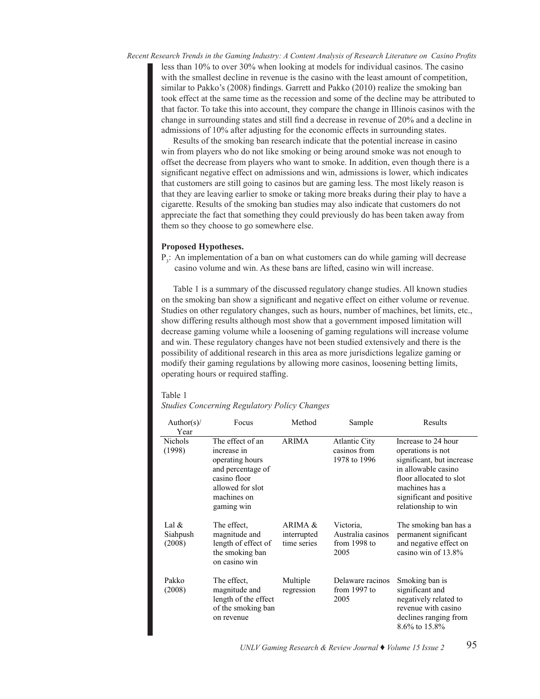*Recent Research Trends in the Gaming Industry: A Content Analysis of Research Literature on Casino Profits* extract reason in the standard massive intervals of the most likely reason is the most likely reason is the most less. The casino less than 10% to over 30% when looking at models for individual casinos. The casino with the smallest decline in revenue is the casino with the least amount of competition, similar to Pakko's (2008) findings. Garrett and Pakko (2010) realize the smoking ban took effect at the same time as the recession and some of the decline may be attributed to that factor. To take this into account, they compare the change in Illinois casinos with the change in surrounding states and still find a decrease in revenue of 20% and a decline in admissions of 10% after adjusting for the economic effects in surrounding states.

Results of the smoking ban research indicate that the potential increase in casino Results of the smoking ban research indicate that the potential increase in casino win from players who do not like smoking or being around smoke was not enough to offset the decrease from players who want to smoke. In addition, even though there is a significant negative effect on admissions and win, admissions is lower, which indicates that customers are still going to casinos but are gaming less. The most likely reason is that they are leaving earlier to smoke or taking more breaks during their play to have a cigarette. Results of the smoking ban studies may also indicate that customers do not eightette. Hesuns of the smoking our statics may those interest that easterness as not appreciate the fact that something they could previously do has been taken away from them so they choose to go somewhere else.

#### **Proposed Hypotheses.** The regulatory changes of materials as  $\mathbf{p}$  as  $\mathbf{p}$

 $P_3$ : An implementation of a ban on what customers can do while gaming will decrease  $\alpha$  casino volume and win. As these bans are lifted, casino win will increase.

Table 1 is a summary of the discussed regulatory change studies. All known studies on the smoking ban show a significant and negative effect on either volume or revenue. Studies on other regulatory changes, such as hours, number of machines, bet limits, etc., show differing results although most show that a government imposed limitation will decrease gaming volume while a loosening of gaming regulations will increase volume and win. These regulatory changes have not been studied extensively and there is the possibility of additional research in this area as more jurisdictions legalize gaming or modify their gaming regulations by allowing more casinos, loosening betting limits, operating hours or required staffing.

### Table 1 *Studies Concerning Regulatory Policy Changes*

# *Studies Concerning Regulatory Policy Changes*

| Author(s)/<br>Year            | Focus                                                                                                                                    | Method                                | Sample                                                 | Results                                                                                                                                                                                      |
|-------------------------------|------------------------------------------------------------------------------------------------------------------------------------------|---------------------------------------|--------------------------------------------------------|----------------------------------------------------------------------------------------------------------------------------------------------------------------------------------------------|
| <b>Nichols</b><br>(1998)      | The effect of an<br>increase in<br>operating hours<br>and percentage of<br>casino floor<br>allowed for slot<br>machines on<br>gaming win | <b>ARIMA</b>                          | <b>Atlantic City</b><br>casinos from<br>1978 to 1996   | Increase to 24 hour<br>operations is not<br>significant, but increase<br>in allowable casino<br>floor allocated to slot<br>machines has a<br>significant and positive<br>relationship to win |
| Lal $&$<br>Siahpush<br>(2008) | The effect,<br>magnitude and<br>length of effect of<br>the smoking ban<br>on casino win                                                  | ARIMA &<br>interrupted<br>time series | Victoria,<br>Australia casinos<br>from 1998 to<br>2005 | The smoking ban has a<br>permanent significant<br>and negative effect on<br>casino win of $13.8\%$                                                                                           |
| Pakko<br>(2008)               | The effect.<br>magnitude and<br>length of the effect<br>of the smoking ban<br>on revenue                                                 | Multiple<br>regression                | Delaware racinos<br>from $1997$ to<br>2005             | Smoking ban is<br>significant and<br>negatively related to<br>revenue with casino<br>declines ranging from<br>8.6% to 15.8%                                                                  |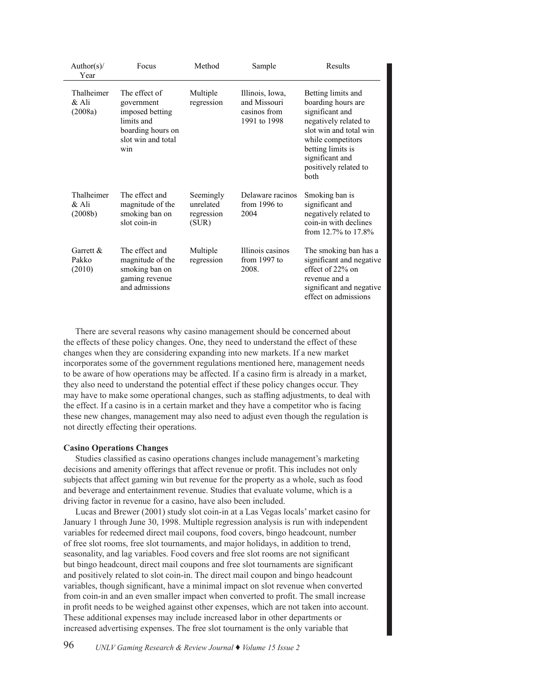| Author(s)/<br>Year              | Focus                                                                                                          | Method                                        | Sample                                                          | Results                                                                                                                                                                                                             |
|---------------------------------|----------------------------------------------------------------------------------------------------------------|-----------------------------------------------|-----------------------------------------------------------------|---------------------------------------------------------------------------------------------------------------------------------------------------------------------------------------------------------------------|
| Thalheimer<br>& Ali<br>(2008a)  | The effect of<br>government<br>imposed betting<br>limits and<br>boarding hours on<br>slot win and total<br>win | Multiple<br>regression                        | Illinois, Iowa,<br>and Missouri<br>casinos from<br>1991 to 1998 | Betting limits and<br>boarding hours are<br>significant and<br>negatively related to<br>slot win and total win<br>while competitors<br>betting limits is<br>significant and<br>positively related to<br><b>both</b> |
| Thalheimer<br>& Ali<br>(2008b)  | The effect and<br>magnitude of the<br>smoking ban on<br>slot coin-in                                           | Seemingly<br>unrelated<br>regression<br>(SUR) | Delaware racinos<br>from $1996$ to<br>2004                      | Smoking ban is<br>significant and<br>negatively related to<br>coin-in with declines<br>from 12.7% to 17.8%                                                                                                          |
| Garrett $\&$<br>Pakko<br>(2010) | The effect and<br>magnitude of the<br>smoking ban on<br>gaming revenue<br>and admissions                       | Multiple<br>regression                        | Illinois casinos<br>from $1997$ to<br>2008.                     | The smoking ban has a<br>significant and negative<br>effect of 22% on<br>revenue and a<br>significant and negative<br>effect on admissions                                                                          |

There are several reasons why casino management should be concerned about the effects of these policy changes. One, they need to understand the effect of these changes when they are considering expanding into new markets. If a new market incorporates some of the government regulations mentioned here, management needs to be aware of how operations may be affected. If a casino firm is already in a market, they also need to understand the potential effect if these policy changes occur. They may have to make some operational changes, such as staffing adjustments, to deal with the effect. If a casino is in a certain market and they have a competitor who is facing these new changes, management may also need to adjust even though the regulation is not directly effecting their operations. ne en<br>.  $\frac{1}{2}$  some operation casino is in a cel  $\frac{1}{1}$ r market a  $\frac{1}{1}$ rey nave a co The smoking ban has a  $\frac{1}{2}$  who is facing

# **Casino Operations Changes**

Studies classified as casino operations changes include management's marketing decisions and amenity offerings that affect revenue or profit. This includes not only subjects that affect gaming win but revenue for the property as a whole, such as food and beverage and entertainment revenue. Studies that evaluate volume, which is a driving factor in revenue for a casino, have also been included.

Lucas and Brewer (2001) study slot coin-in at a Las Vegas locals' market casino for January 1 through June 30, 1998. Multiple regression analysis is run with independent variables for redeemed direct mail coupons, food covers, bingo headcount, number of free slot rooms, free slot tournaments, and major holidays, in addition to trend, seasonality, and lag variables. Food covers and free slot rooms are not significant but bingo headcount, direct mail coupons and free slot tournaments are significant and positively related to slot coin-in. The direct mail coupon and bingo headcount variables, though significant, have a minimal impact on slot revenue when converted from coin-in and an even smaller impact when converted to profit. The small increase in profit needs to be weighed against other expenses, which are not taken into account. These additional expenses may include increased labor in other departments or increased advertising expenses. The free slot tournament is the only variable that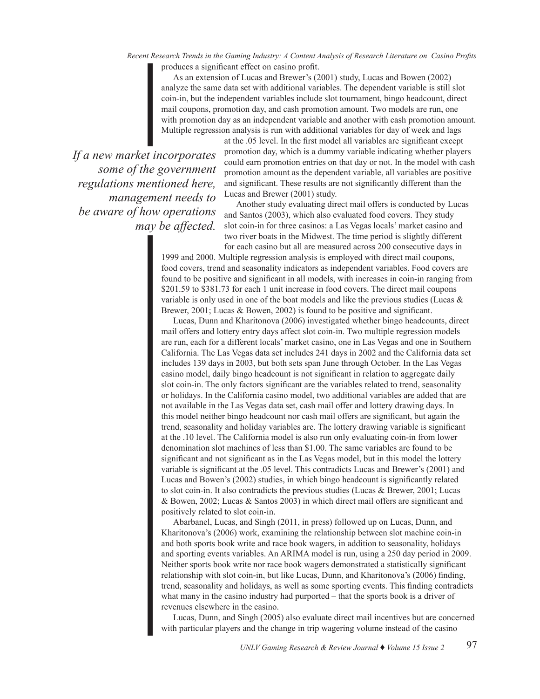*Recent Research Trends in the Gaming Industry: A Content Analysis of Research Literature on Casino Profits* produces a significant effect on casino profit.

As an extension of Lucas and Brewer's (2001) study, Lucas and Bowen (2002) analyze the same data set with additional variables. The dependent variable is still slot coin-in, but the independent variables include slot tournament, bingo headcount, direct mail coupons, promotion day, and cash promotion amount. Two models are run, one with promotion day as an independent variable and another with cash promotion amount. Multiple regression analysis is run with additional variables for day of week and lags

*If a new market incorporates some of the government regulations mentioned here, management needs to be aware of how operations may be affected.* 

at the .05 level. In the first model all variables are significant except promotion day, which is a dummy variable indicating whether players could earn promotion entries on that day or not. In the model with cash promotion amount as the dependent variable, all variables are positive and significant. These results are not significantly different than the Lucas and Brewer (2001) study.

Another study evaluating direct mail offers is conducted by Lucas and Santos (2003), which also evaluated food covers. They study slot coin-in for three casinos: a Las Vegas locals' market casino and two river boats in the Midwest. The time period is slightly different for each casino but all are measured across 200 consecutive days in

1999 and 2000. Multiple regression analysis is employed with direct mail coupons, food covers, trend and seasonality indicators as independent variables. Food covers are found to be positive and significant in all models, with increases in coin-in ranging from \$201.59 to \$381.73 for each 1 unit increase in food covers. The direct mail coupons variable is only used in one of the boat models and like the previous studies (Lucas & Brewer, 2001; Lucas & Bowen, 2002) is found to be positive and significant.

Lucas, Dunn and Kharitonova (2006) investigated whether bingo headcounts, direct mail offers and lottery entry days affect slot coin-in. Two multiple regression models are run, each for a different locals' market casino, one in Las Vegas and one in Southern California. The Las Vegas data set includes 241 days in 2002 and the California data set includes 139 days in 2003, but both sets span June through October. In the Las Vegas casino model, daily bingo headcount is not significant in relation to aggregate daily slot coin-in. The only factors significant are the variables related to trend, seasonality or holidays. In the California casino model, two additional variables are added that are not available in the Las Vegas data set, cash mail offer and lottery drawing days. In this model neither bingo headcount nor cash mail offers are significant, but again the trend, seasonality and holiday variables are. The lottery drawing variable is significant at the .10 level. The California model is also run only evaluating coin-in from lower denomination slot machines of less than \$1.00. The same variables are found to be significant and not significant as in the Las Vegas model, but in this model the lottery variable is significant at the .05 level. This contradicts Lucas and Brewer's (2001) and Lucas and Bowen's (2002) studies, in which bingo headcount is significantly related to slot coin-in. It also contradicts the previous studies (Lucas & Brewer, 2001; Lucas & Bowen, 2002; Lucas & Santos 2003) in which direct mail offers are significant and positively related to slot coin-in.

Abarbanel, Lucas, and Singh (2011, in press) followed up on Lucas, Dunn, and Kharitonova's (2006) work, examining the relationship between slot machine coin-in and both sports book write and race book wagers, in addition to seasonality, holidays and sporting events variables. An ARIMA model is run, using a 250 day period in 2009. Neither sports book write nor race book wagers demonstrated a statistically significant relationship with slot coin-in, but like Lucas, Dunn, and Kharitonova's (2006) finding, trend, seasonality and holidays, as well as some sporting events. This finding contradicts what many in the casino industry had purported – that the sports book is a driver of revenues elsewhere in the casino.

Lucas, Dunn, and Singh (2005) also evaluate direct mail incentives but are concerned with particular players and the change in trip wagering volume instead of the casino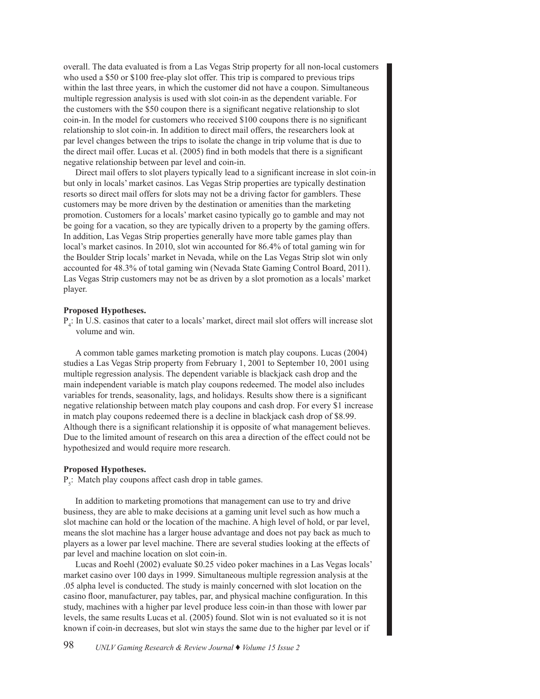overall. The data evaluated is from a Las Vegas Strip property for all non-local customers who used a \$50 or \$100 free-play slot offer. This trip is compared to previous trips within the last three years, in which the customer did not have a coupon. Simultaneous multiple regression analysis is used with slot coin-in as the dependent variable. For the customers with the \$50 coupon there is a significant negative relationship to slot coin-in. In the model for customers who received \$100 coupons there is no significant relationship to slot coin-in. In addition to direct mail offers, the researchers look at par level changes between the trips to isolate the change in trip volume that is due to the direct mail offer. Lucas et al. (2005) find in both models that there is a significant negative relationship between par level and coin-in.

Direct mail offers to slot players typically lead to a significant increase in slot coin-in but only in locals' market casinos. Las Vegas Strip properties are typically destination resorts so direct mail offers for slots may not be a driving factor for gamblers. These customers may be more driven by the destination or amenities than the marketing promotion. Customers for a locals' market casino typically go to gamble and may not be going for a vacation, so they are typically driven to a property by the gaming offers. In addition, Las Vegas Strip properties generally have more table games play than local's market casinos. In 2010, slot win accounted for 86.4% of total gaming win for the Boulder Strip locals' market in Nevada, while on the Las Vegas Strip slot win only accounted for 48.3% of total gaming win (Nevada State Gaming Control Board, 2011). Las Vegas Strip customers may not be as driven by a slot promotion as a locals' market player.

## **Proposed Hypotheses.**

P<sub>4</sub>: In U.S. casinos that cater to a locals' market, direct mail slot offers will increase slot volume and win.

A common table games marketing promotion is match play coupons. Lucas (2004) studies a Las Vegas Strip property from February 1, 2001 to September 10, 2001 using multiple regression analysis. The dependent variable is blackjack cash drop and the main independent variable is match play coupons redeemed. The model also includes variables for trends, seasonality, lags, and holidays. Results show there is a significant negative relationship between match play coupons and cash drop. For every \$1 increase in match play coupons redeemed there is a decline in blackjack cash drop of \$8.99. Although there is a significant relationship it is opposite of what management believes. Due to the limited amount of research on this area a direction of the effect could not be hypothesized and would require more research.

#### **Proposed Hypotheses.**

 $P_5$ : Match play coupons affect cash drop in table games.

In addition to marketing promotions that management can use to try and drive business, they are able to make decisions at a gaming unit level such as how much a slot machine can hold or the location of the machine. A high level of hold, or par level, means the slot machine has a larger house advantage and does not pay back as much to players as a lower par level machine. There are several studies looking at the effects of par level and machine location on slot coin-in.

Lucas and Roehl (2002) evaluate \$0.25 video poker machines in a Las Vegas locals' market casino over 100 days in 1999. Simultaneous multiple regression analysis at the .05 alpha level is conducted. The study is mainly concerned with slot location on the casino floor, manufacturer, pay tables, par, and physical machine configuration. In this study, machines with a higher par level produce less coin-in than those with lower par levels, the same results Lucas et al. (2005) found. Slot win is not evaluated so it is not known if coin-in decreases, but slot win stays the same due to the higher par level or if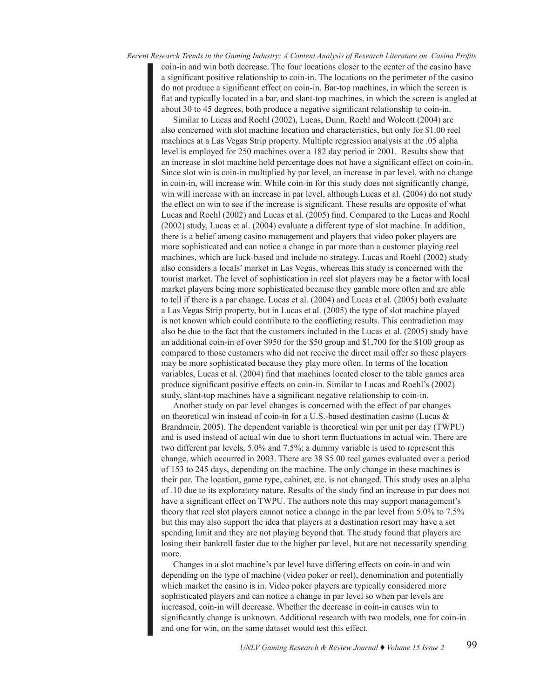*Recent Research Trends in the Gaming Industry: A Content Analysis of Research Literature on Casino Profits* coin-in and win both decrease. The four locations closer to the center of the casino have a significant positive relationship to coin-in. The locations on the perimeter of the casino do not produce a significant effect on coin-in. Bar-top machines, in which the screen is flat and typically located in a bar, and slant-top machines, in which the screen is angled at about 30 to 45 degrees, both produce a negative significant relationship to coin-in.

Similar to Lucas and Roehl (2002), Lucas, Dunn, Roehl and Wolcott (2004) are also concerned with slot machine location and characteristics, but only for \$1.00 reel machines at a Las Vegas Strip property. Multiple regression analysis at the .05 alpha level is employed for 250 machines over a 182 day period in 2001. Results show that an increase in slot machine hold percentage does not have a significant effect on coin-in. Since slot win is coin-in multiplied by par level, an increase in par level, with no change in coin-in, will increase win. While coin-in for this study does not significantly change, win will increase with an increase in par level, although Lucas et al. (2004) do not study the effect on win to see if the increase is significant. These results are opposite of what Lucas and Roehl (2002) and Lucas et al. (2005) find. Compared to the Lucas and Roehl (2002) study, Lucas et al. (2004) evaluate a different type of slot machine. In addition, there is a belief among casino management and players that video poker players are more sophisticated and can notice a change in par more than a customer playing reel machines, which are luck-based and include no strategy. Lucas and Roehl (2002) study also considers a locals' market in Las Vegas, whereas this study is concerned with the tourist market. The level of sophistication in reel slot players may be a factor with local market players being more sophisticated because they gamble more often and are able to tell if there is a par change. Lucas et al. (2004) and Lucas et al. (2005) both evaluate a Las Vegas Strip property, but in Lucas et al. (2005) the type of slot machine played is not known which could contribute to the conflicting results. This contradiction may also be due to the fact that the customers included in the Lucas et al. (2005) study have an additional coin-in of over \$950 for the \$50 group and \$1,700 for the \$100 group as compared to those customers who did not receive the direct mail offer so these players may be more sophisticated because they play more often. In terms of the location variables, Lucas et al. (2004) find that machines located closer to the table games area produce significant positive effects on coin-in. Similar to Lucas and Roehl's (2002) study, slant-top machines have a significant negative relationship to coin-in.

Another study on par level changes is concerned with the effect of par changes on theoretical win instead of coin-in for a U.S.-based destination casino (Lucas & Brandmeir, 2005). The dependent variable is theoretical win per unit per day (TWPU) and is used instead of actual win due to short term fluctuations in actual win. There are two different par levels, 5.0% and 7.5%; a dummy variable is used to represent this change, which occurred in 2003. There are 38 \$5.00 reel games evaluated over a period of 153 to 245 days, depending on the machine. The only change in these machines is their par. The location, game type, cabinet, etc. is not changed. This study uses an alpha of .10 due to its exploratory nature. Results of the study find an increase in par does not have a significant effect on TWPU. The authors note this may support management's theory that reel slot players cannot notice a change in the par level from 5.0% to 7.5% but this may also support the idea that players at a destination resort may have a set spending limit and they are not playing beyond that. The study found that players are losing their bankroll faster due to the higher par level, but are not necessarily spending more.

Changes in a slot machine's par level have differing effects on coin-in and win depending on the type of machine (video poker or reel), denomination and potentially which market the casino is in. Video poker players are typically considered more sophisticated players and can notice a change in par level so when par levels are increased, coin-in will decrease. Whether the decrease in coin-in causes win to significantly change is unknown. Additional research with two models, one for coin-in and one for win, on the same dataset would test this effect.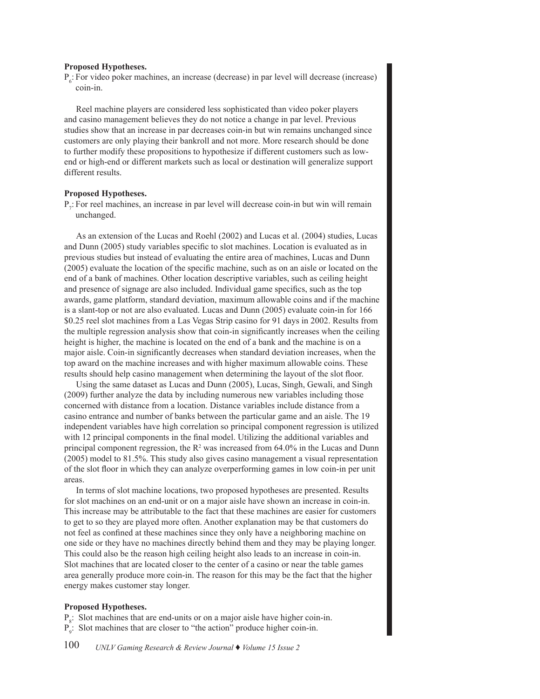## **Proposed Hypotheses.**

 $P_{6}$ : For video poker machines, an increase (decrease) in par level will decrease (increase) coin-in.

Reel machine players are considered less sophisticated than video poker players and casino management believes they do not notice a change in par level. Previous studies show that an increase in par decreases coin-in but win remains unchanged since customers are only playing their bankroll and not more. More research should be done to further modify these propositions to hypothesize if different customers such as lowend or high-end or different markets such as local or destination will generalize support different results.

## **Proposed Hypotheses.**

P<sub>7</sub>: For reel machines, an increase in par level will decrease coin-in but win will remain unchanged.

As an extension of the Lucas and Roehl (2002) and Lucas et al. (2004) studies, Lucas and Dunn (2005) study variables specific to slot machines. Location is evaluated as in previous studies but instead of evaluating the entire area of machines, Lucas and Dunn (2005) evaluate the location of the specific machine, such as on an aisle or located on the end of a bank of machines. Other location descriptive variables, such as ceiling height and presence of signage are also included. Individual game specifics, such as the top awards, game platform, standard deviation, maximum allowable coins and if the machine is a slant-top or not are also evaluated. Lucas and Dunn (2005) evaluate coin-in for 166 \$0.25 reel slot machines from a Las Vegas Strip casino for 91 days in 2002. Results from the multiple regression analysis show that coin-in significantly increases when the ceiling height is higher, the machine is located on the end of a bank and the machine is on a major aisle. Coin-in significantly decreases when standard deviation increases, when the top award on the machine increases and with higher maximum allowable coins. These results should help casino management when determining the layout of the slot floor.

Using the same dataset as Lucas and Dunn (2005), Lucas, Singh, Gewali, and Singh (2009) further analyze the data by including numerous new variables including those concerned with distance from a location. Distance variables include distance from a casino entrance and number of banks between the particular game and an aisle. The 19 independent variables have high correlation so principal component regression is utilized with 12 principal components in the final model. Utilizing the additional variables and principal component regression, the  $R^2$  was increased from 64.0% in the Lucas and Dunn (2005) model to 81.5%. This study also gives casino management a visual representation of the slot floor in which they can analyze overperforming games in low coin-in per unit areas.

In terms of slot machine locations, two proposed hypotheses are presented. Results for slot machines on an end-unit or on a major aisle have shown an increase in coin-in. This increase may be attributable to the fact that these machines are easier for customers to get to so they are played more often. Another explanation may be that customers do not feel as confined at these machines since they only have a neighboring machine on one side or they have no machines directly behind them and they may be playing longer. This could also be the reason high ceiling height also leads to an increase in coin-in. Slot machines that are located closer to the center of a casino or near the table games area generally produce more coin-in. The reason for this may be the fact that the higher energy makes customer stay longer.

### **Proposed Hypotheses.**

 $P_s$ : Slot machines that are end-units or on a major aisle have higher coin-in. P9 : Slot machines that are closer to "the action" produce higher coin-in.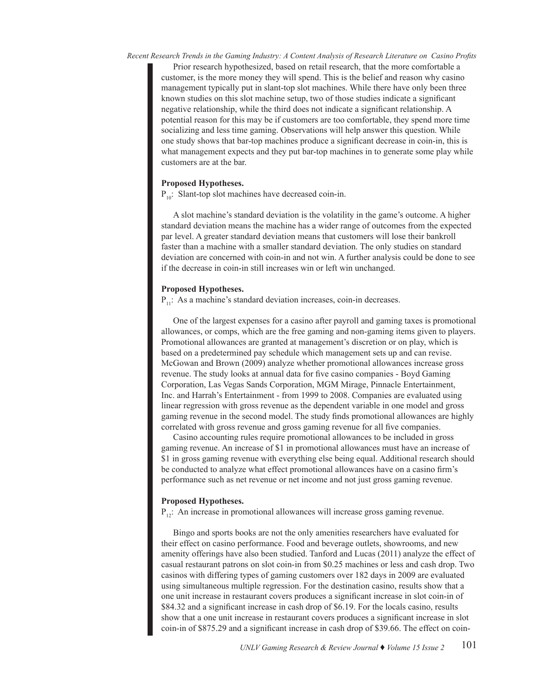*Recent Research Trends in the Gaming Industry: A Content Analysis of Research Literature on Casino Profits*

Prior research hypothesized, based on retail research, that the more comfortable a customer, is the more money they will spend. This is the belief and reason why casino management typically put in slant-top slot machines. While there have only been three known studies on this slot machine setup, two of those studies indicate a significant negative relationship, while the third does not indicate a significant relationship. A potential reason for this may be if customers are too comfortable, they spend more time socializing and less time gaming. Observations will help answer this question. While one study shows that bar-top machines produce a significant decrease in coin-in, this is what management expects and they put bar-top machines in to generate some play while customers are at the bar.

## **Proposed Hypotheses.**

 $P_{10}$ : Slant-top slot machines have decreased coin-in.

A slot machine's standard deviation is the volatility in the game's outcome. A higher standard deviation means the machine has a wider range of outcomes from the expected par level. A greater standard deviation means that customers will lose their bankroll faster than a machine with a smaller standard deviation. The only studies on standard deviation are concerned with coin-in and not win. A further analysis could be done to see if the decrease in coin-in still increases win or left win unchanged.

# **Proposed Hypotheses.**

 $P_{11}$ : As a machine's standard deviation increases, coin-in decreases.

One of the largest expenses for a casino after payroll and gaming taxes is promotional allowances, or comps, which are the free gaming and non-gaming items given to players. Promotional allowances are granted at management's discretion or on play, which is based on a predetermined pay schedule which management sets up and can revise. McGowan and Brown (2009) analyze whether promotional allowances increase gross revenue. The study looks at annual data for five casino companies - Boyd Gaming Corporation, Las Vegas Sands Corporation, MGM Mirage, Pinnacle Entertainment, Inc. and Harrah's Entertainment - from 1999 to 2008. Companies are evaluated using linear regression with gross revenue as the dependent variable in one model and gross gaming revenue in the second model. The study finds promotional allowances are highly correlated with gross revenue and gross gaming revenue for all five companies.

Casino accounting rules require promotional allowances to be included in gross gaming revenue. An increase of \$1 in promotional allowances must have an increase of \$1 in gross gaming revenue with everything else being equal. Additional research should be conducted to analyze what effect promotional allowances have on a casino firm's performance such as net revenue or net income and not just gross gaming revenue.

## **Proposed Hypotheses.**

 $P_{12}$ : An increase in promotional allowances will increase gross gaming revenue.

Bingo and sports books are not the only amenities researchers have evaluated for their effect on casino performance. Food and beverage outlets, showrooms, and new amenity offerings have also been studied. Tanford and Lucas (2011) analyze the effect of casual restaurant patrons on slot coin-in from \$0.25 machines or less and cash drop. Two casinos with differing types of gaming customers over 182 days in 2009 are evaluated using simultaneous multiple regression. For the destination casino, results show that a one unit increase in restaurant covers produces a significant increase in slot coin-in of \$84.32 and a significant increase in cash drop of \$6.19. For the locals casino, results show that a one unit increase in restaurant covers produces a significant increase in slot coin-in of \$875.29 and a significant increase in cash drop of \$39.66. The effect on coin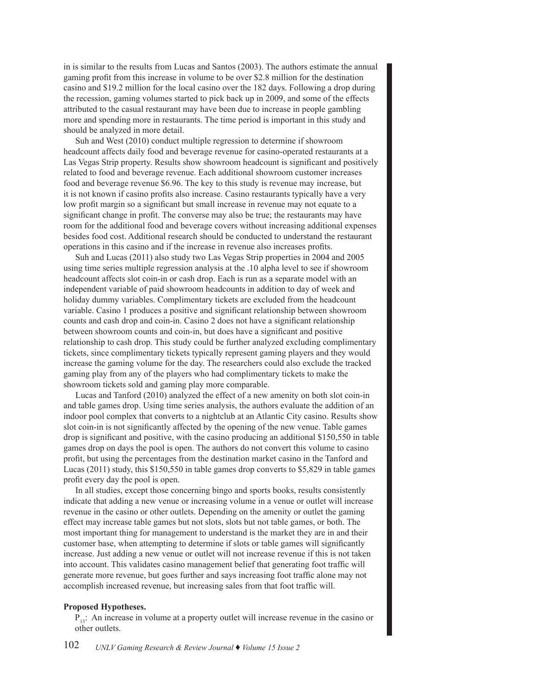in is similar to the results from Lucas and Santos (2003). The authors estimate the annual gaming profit from this increase in volume to be over \$2.8 million for the destination casino and \$19.2 million for the local casino over the 182 days. Following a drop during the recession, gaming volumes started to pick back up in 2009, and some of the effects attributed to the casual restaurant may have been due to increase in people gambling more and spending more in restaurants. The time period is important in this study and should be analyzed in more detail.

Suh and West (2010) conduct multiple regression to determine if showroom headcount affects daily food and beverage revenue for casino-operated restaurants at a Las Vegas Strip property. Results show showroom headcount is significant and positively related to food and beverage revenue. Each additional showroom customer increases food and beverage revenue \$6.96. The key to this study is revenue may increase, but it is not known if casino profits also increase. Casino restaurants typically have a very low profit margin so a significant but small increase in revenue may not equate to a significant change in profit. The converse may also be true; the restaurants may have room for the additional food and beverage covers without increasing additional expenses besides food cost. Additional research should be conducted to understand the restaurant operations in this casino and if the increase in revenue also increases profits.

Suh and Lucas (2011) also study two Las Vegas Strip properties in 2004 and 2005 using time series multiple regression analysis at the .10 alpha level to see if showroom headcount affects slot coin-in or cash drop. Each is run as a separate model with an independent variable of paid showroom headcounts in addition to day of week and holiday dummy variables. Complimentary tickets are excluded from the headcount variable. Casino 1 produces a positive and significant relationship between showroom counts and cash drop and coin-in. Casino 2 does not have a significant relationship between showroom counts and coin-in, but does have a significant and positive relationship to cash drop. This study could be further analyzed excluding complimentary tickets, since complimentary tickets typically represent gaming players and they would increase the gaming volume for the day. The researchers could also exclude the tracked gaming play from any of the players who had complimentary tickets to make the showroom tickets sold and gaming play more comparable.

Lucas and Tanford (2010) analyzed the effect of a new amenity on both slot coin-in and table games drop. Using time series analysis, the authors evaluate the addition of an indoor pool complex that converts to a nightclub at an Atlantic City casino. Results show slot coin-in is not significantly affected by the opening of the new venue. Table games drop is significant and positive, with the casino producing an additional \$150,550 in table games drop on days the pool is open. The authors do not convert this volume to casino profit, but using the percentages from the destination market casino in the Tanford and Lucas (2011) study, this \$150,550 in table games drop converts to \$5,829 in table games profit every day the pool is open.

In all studies, except those concerning bingo and sports books, results consistently indicate that adding a new venue or increasing volume in a venue or outlet will increase revenue in the casino or other outlets. Depending on the amenity or outlet the gaming effect may increase table games but not slots, slots but not table games, or both. The most important thing for management to understand is the market they are in and their customer base, when attempting to determine if slots or table games will significantly increase. Just adding a new venue or outlet will not increase revenue if this is not taken into account. This validates casino management belief that generating foot traffic will generate more revenue, but goes further and says increasing foot traffic alone may not accomplish increased revenue, but increasing sales from that foot traffic will.

## **Proposed Hypotheses.**

 $P_{13}$ : An increase in volume at a property outlet will increase revenue in the casino or other outlets.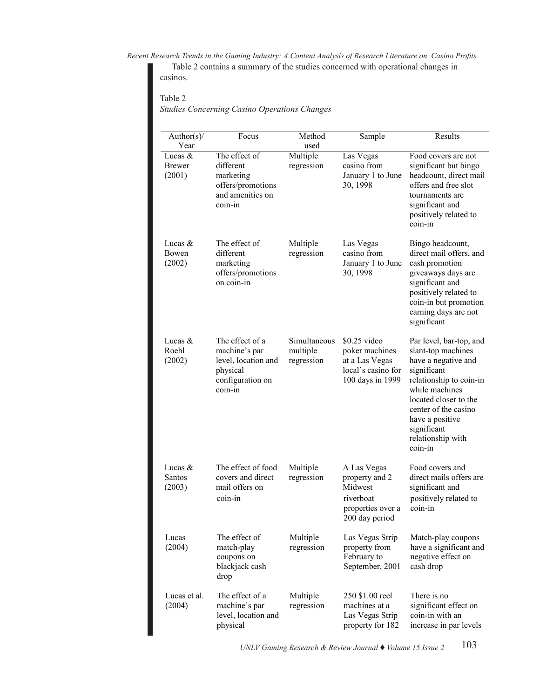*Recent Research Trends in the Gaming Industry: A Content Analysis of Research Literature on Casino Profits* Table 2 contains a summary of the studies concerned with operational changes in casinos.

# Table 2

*Studies Concerning Casino Operations Changes Studies Concerning Casino Operations Changes*

| Author(s)/                    | Focus                                                                                              | Method                                 | Sample                                                                                       | Results                                                                                                                                                                                                                                             |
|-------------------------------|----------------------------------------------------------------------------------------------------|----------------------------------------|----------------------------------------------------------------------------------------------|-----------------------------------------------------------------------------------------------------------------------------------------------------------------------------------------------------------------------------------------------------|
| Year                          |                                                                                                    | used                                   |                                                                                              |                                                                                                                                                                                                                                                     |
| Lucas $&$<br>Brewer<br>(2001) | The effect of<br>different<br>marketing<br>offers/promotions<br>and amenities on<br>coin-in        | Multiple<br>regression                 | Las Vegas<br>casino from<br>January 1 to June<br>30, 1998                                    | Food covers are not<br>significant but bingo<br>headcount, direct mail<br>offers and free slot<br>tournaments are<br>significant and<br>positively related to<br>coin-in                                                                            |
| Lucas $\&$<br>Bowen<br>(2002) | The effect of<br>different<br>marketing<br>offers/promotions<br>on coin-in                         | Multiple<br>regression                 | Las Vegas<br>casino from<br>January 1 to June<br>30, 1998                                    | Bingo headcount,<br>direct mail offers, and<br>cash promotion<br>giveaways days are<br>significant and<br>positively related to<br>coin-in but promotion<br>earning days are not<br>significant                                                     |
| Lucas $&$<br>Roehl<br>(2002)  | The effect of a<br>machine's par<br>level, location and<br>physical<br>configuration on<br>coin-in | Simultaneous<br>multiple<br>regression | $$0.25$ video<br>poker machines<br>at a Las Vegas<br>local's casino for<br>100 days in 1999  | Par level, bar-top, and<br>slant-top machines<br>have a negative and<br>significant<br>relationship to coin-in<br>while machines<br>located closer to the<br>center of the casino<br>have a positive<br>significant<br>relationship with<br>coin-in |
| Lucas $&$<br>Santos<br>(2003) | The effect of food<br>covers and direct<br>mail offers on<br>coin-in                               | Multiple<br>regression                 | A Las Vegas<br>property and 2<br>Midwest<br>riverboat<br>properties over a<br>200 day period | Food covers and<br>direct mails offers are<br>significant and<br>positively related to<br>coin-in                                                                                                                                                   |
| Lucas<br>(2004)               | The effect of<br>match-play<br>coupons on<br>blackjack cash<br>drop                                | Multiple<br>regression                 | Las Vegas Strip<br>property from<br>February to<br>September, 2001                           | Match-play coupons<br>have a significant and<br>negative effect on<br>cash drop                                                                                                                                                                     |
| Lucas et al.<br>(2004)        | The effect of a<br>machine's par<br>level, location and<br>physical                                | Multiple<br>regression                 | 250 \$1.00 reel<br>machines at a<br>Las Vegas Strip<br>property for 182                      | There is no<br>significant effect on<br>coin-in with an<br>increase in par levels                                                                                                                                                                   |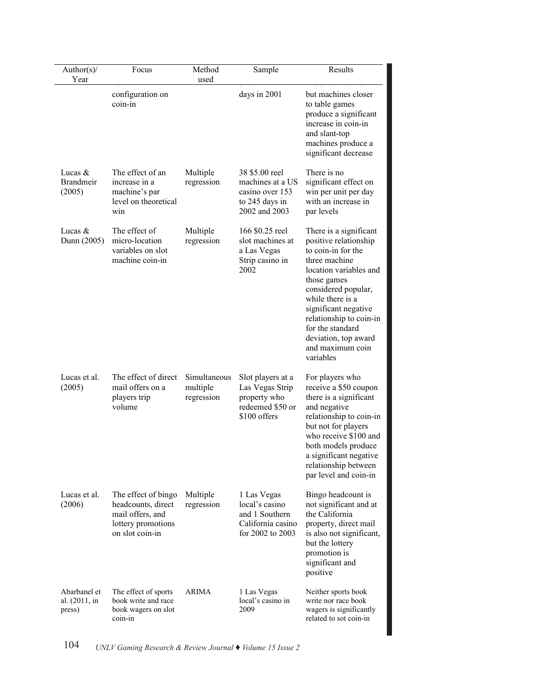| Author(s)/<br>Year                      | Focus                                                                                                  | Method<br>used                         | Sample                                                                                   | Results                                                                                                                                                                                                                                                                                                    |
|-----------------------------------------|--------------------------------------------------------------------------------------------------------|----------------------------------------|------------------------------------------------------------------------------------------|------------------------------------------------------------------------------------------------------------------------------------------------------------------------------------------------------------------------------------------------------------------------------------------------------------|
|                                         | configuration on<br>coin-in                                                                            |                                        | days in 2001                                                                             | but machines closer<br>to table games<br>produce a significant<br>increase in coin-in<br>and slant-top<br>machines produce a<br>significant decrease                                                                                                                                                       |
| Lucas $&$<br><b>Brandmeir</b><br>(2005) | The effect of an<br>increase in a<br>machine's par<br>level on theoretical<br>win                      | Multiple<br>regression                 | 38 \$5.00 reel<br>machines at a US<br>casino over 153<br>to 245 days in<br>2002 and 2003 | There is no<br>significant effect on<br>win per unit per day<br>with an increase in<br>par levels                                                                                                                                                                                                          |
| Lucas $&$<br>Dunn (2005)                | The effect of<br>micro-location<br>variables on slot<br>machine coin-in                                | Multiple<br>regression                 | 166 \$0.25 reel<br>slot machines at<br>a Las Vegas<br>Strip casino in<br>2002            | There is a significant<br>positive relationship<br>to coin-in for the<br>three machine<br>location variables and<br>those games<br>considered popular,<br>while there is a<br>significant negative<br>relationship to coin-in<br>for the standard<br>deviation, top award<br>and maximum coin<br>variables |
| Lucas et al.<br>(2005)                  | The effect of direct<br>mail offers on a<br>players trip<br>volume                                     | Simultaneous<br>multiple<br>regression | Slot players at a<br>Las Vegas Strip<br>property who<br>redeemed \$50 or<br>\$100 offers | For players who<br>receive a \$50 coupon<br>there is a significant<br>and negative<br>relationship to coin-in<br>but not for players<br>who receive \$100 and<br>both models produce<br>a significant negative<br>relationship between<br>par level and coin-in                                            |
| Lucas et al.<br>(2006)                  | The effect of bingo<br>headcounts, direct<br>mail offers, and<br>lottery promotions<br>on slot coin-in | Multiple<br>regression                 | 1 Las Vegas<br>local's casino<br>and 1 Southern<br>California casino<br>for 2002 to 2003 | Bingo headcount is<br>not significant and at<br>the California<br>property, direct mail<br>is also not significant,<br>but the lottery<br>promotion is<br>significant and<br>positive                                                                                                                      |
| Abarbanel et<br>al. (2011, in<br>press) | The effect of sports<br>book write and race<br>book wagers on slot<br>coin-in                          | ARIMA                                  | 1 Las Vegas<br>local's casino in<br>2009                                                 | Neither sports book<br>write nor race book<br>wagers is significantly<br>related to sot coin-in                                                                                                                                                                                                            |

 $\overline{a}$ 

 $\overline{\mathbf{S}}$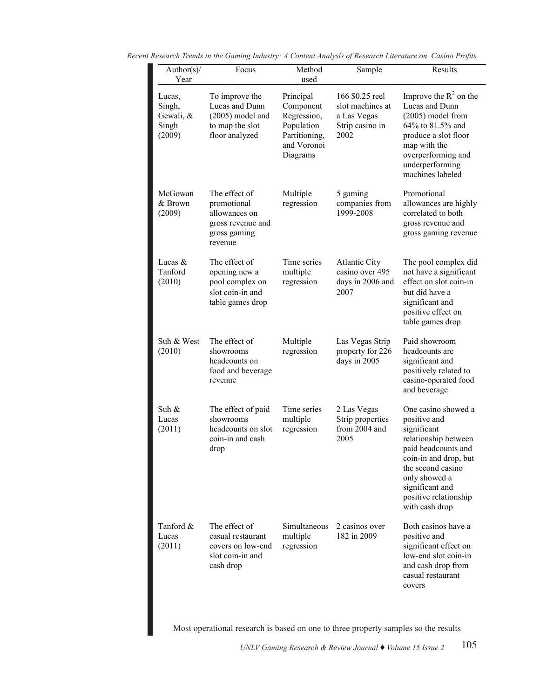| Author(s)/<br>Year                               | Focus                                                                                         | Method<br>used                                                                                  | Sample                                                                        | Results                                                                                                                                                                                                                        |
|--------------------------------------------------|-----------------------------------------------------------------------------------------------|-------------------------------------------------------------------------------------------------|-------------------------------------------------------------------------------|--------------------------------------------------------------------------------------------------------------------------------------------------------------------------------------------------------------------------------|
| Lucas,<br>Singh,<br>Gewali, &<br>Singh<br>(2009) | To improve the<br>Lucas and Dunn<br>$(2005)$ model and<br>to map the slot<br>floor analyzed   | Principal<br>Component<br>Regression,<br>Population<br>Partitioning,<br>and Voronoi<br>Diagrams | 166 \$0.25 reel<br>slot machines at<br>a Las Vegas<br>Strip casino in<br>2002 | Improve the $R^2$ on the<br>Lucas and Dunn<br>$(2005)$ model from<br>64% to 81.5% and<br>produce a slot floor<br>map with the<br>overperforming and<br>underperforming<br>machines labeled                                     |
| McGowan<br>& Brown<br>(2009)                     | The effect of<br>promotional<br>allowances on<br>gross revenue and<br>gross gaming<br>revenue | Multiple<br>regression                                                                          | 5 gaming<br>companies from<br>1999-2008                                       | Promotional<br>allowances are highly<br>correlated to both<br>gross revenue and<br>gross gaming revenue                                                                                                                        |
| Lucas $&$<br>Tanford<br>(2010)                   | The effect of<br>opening new a<br>pool complex on<br>slot coin-in and<br>table games drop     | Time series<br>multiple<br>regression                                                           | <b>Atlantic City</b><br>casino over 495<br>days in 2006 and<br>2007           | The pool complex did<br>not have a significant<br>effect on slot coin-in<br>but did have a<br>significant and<br>positive effect on<br>table games drop                                                                        |
| Suh & West<br>(2010)                             | The effect of<br>showrooms<br>headcounts on<br>food and beverage<br>revenue                   | Multiple<br>regression                                                                          | Las Vegas Strip<br>property for 226<br>days in 2005                           | Paid showroom<br>headcounts are<br>significant and<br>positively related to<br>casino-operated food<br>and beverage                                                                                                            |
| Suh $\&$<br>Lucas<br>(2011)                      | The effect of paid<br>showrooms<br>headcounts on slot<br>coin-in and cash<br>drop             | Time series<br>multiple<br>regression                                                           | 2 Las Vegas<br>Strip properties<br>from 2004 and<br>2005                      | One casino showed a<br>positive and<br>significant<br>relationship between<br>paid headcounts and<br>coin-in and drop, but<br>the second casino<br>only showed a<br>significant and<br>positive relationship<br>with cash drop |
| Tanford &<br>Lucas<br>(2011)                     | The effect of<br>casual restaurant<br>covers on low-end<br>slot coin-in and<br>cash drop      | Simultaneous<br>multiple<br>regression                                                          | 2 casinos over<br>182 in 2009                                                 | Both casinos have a<br>positive and<br>significant effect on<br>low-end slot coin-in<br>and cash drop from<br>casual restaurant<br>covers                                                                                      |

Recent Research Trends in the Gaming Industry: A Content Analysis of Research Literature on Casino Profits<br>
— — —

Most operational research is based on one to three property samples so the results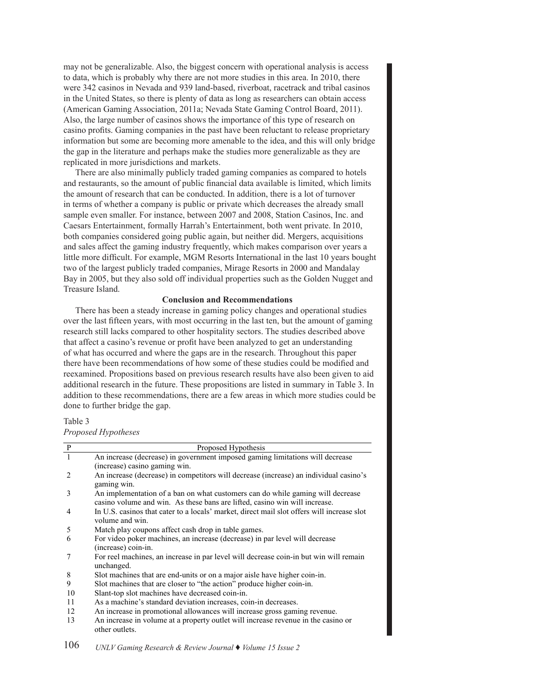may not be generalizable. Also, the biggest concern with operational analysis is access to data, which is probably why there are not more studies in this area. In 2010, there were 342 casinos in Nevada and 939 land-based, riverboat, racetrack and tribal casinos in the United States, so there is plenty of data as long as researchers can obtain access (American Gaming Association, 2011a; Nevada State Gaming Control Board, 2011). Also, the large number of casinos shows the importance of this type of research on casino profits. Gaming companies in the past have been reluctant to release proprietary information but some are becoming more amenable to the idea, and this will only bridge the gap in the literature and perhaps make the studies more generalizable as they are replicated in more jurisdictions and markets.

There are also minimally publicly traded gaming companies as compared to hotels and restaurants, so the amount of public financial data available is limited, which limits the amount of research that can be conducted. In addition, there is a lot of turnover in terms of whether a company is public or private which decreases the already small sample even smaller. For instance, between 2007 and 2008, Station Casinos, Inc. and Caesars Entertainment, formally Harrah's Entertainment, both went private. In 2010, both companies considered going public again, but neither did. Mergers, acquisitions and sales affect the gaming industry frequently, which makes comparison over years a little more difficult. For example, MGM Resorts International in the last 10 years bought two of the largest publicly traded companies, Mirage Resorts in 2000 and Mandalay Bay in 2005, but they also sold off individual properties such as the Golden Nugget and Treasure Island.

# **Conclusion and Recommendations**

There has been a steady increase in gaming policy changes and operational studies over the last fifteen years, with most occurring in the last ten, but the amount of gaming research still lacks compared to other hospitality sectors. The studies described above that affect a casino's revenue or profit have been analyzed to get an understanding of what has occurred and where the gaps are in the research. Throughout this paper there have been recommendations of how some of these studies could be modified and reexamined. Propositions based on previous research results have also been given to aid additional research in the future. These propositions are listed in summary in Table 3. In addition to these recommendations, there are a few areas in which more studies could be done to further bridge the gap.

# Table 3

*Proposed Hypotheses Proposed Hypotheses*

| $\overline{\mathbf{P}}$ | Proposed Hypothesis                                                                                                                                          |
|-------------------------|--------------------------------------------------------------------------------------------------------------------------------------------------------------|
| $\overline{1}$          | An increase (decrease) in government imposed gaming limitations will decrease                                                                                |
|                         | (increase) casino gaming win.                                                                                                                                |
| 2                       | An increase (decrease) in competitors will decrease (increase) an individual casino's<br>gaming win.                                                         |
| 3                       | An implementation of a ban on what customers can do while gaming will decrease<br>casino volume and win. As these bans are lifted, casino win will increase. |
| $\overline{4}$          | In U.S. casinos that cater to a locals' market, direct mail slot offers will increase slot<br>volume and win.                                                |
| 5                       | Match play coupons affect cash drop in table games.                                                                                                          |
| 6                       | For video poker machines, an increase (decrease) in par level will decrease                                                                                  |
|                         | (increase) coin-in.                                                                                                                                          |
| 7                       | For reel machines, an increase in par level will decrease coin-in but win will remain<br>unchanged.                                                          |
| 8                       | Slot machines that are end-units or on a major aisle have higher coin-in.                                                                                    |
| 9                       | Slot machines that are closer to "the action" produce higher coin-in.                                                                                        |
| 10                      | Slant-top slot machines have decreased coin-in.                                                                                                              |
| 11                      | As a machine's standard deviation increases, coin-in decreases.                                                                                              |
| 12                      | An increase in promotional allowances will increase gross gaming revenue.                                                                                    |
| 13                      | An increase in volume at a property outlet will increase revenue in the casino or<br>other outlets.                                                          |

106 *UNLV Gaming Research & Review Journal* ♦ *Volume 15 Issue 2*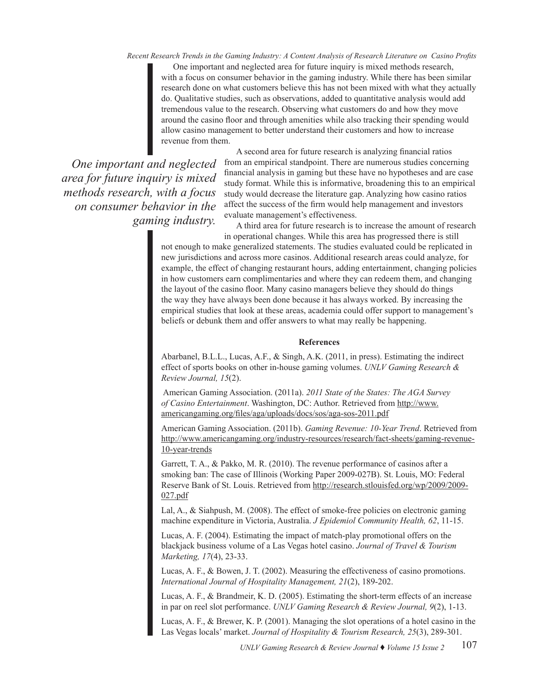*Recent Research Trends in the Gaming Industry: A Content Analysis of Research Literature on Casino Profits*

One important and neglected area for future inquiry is mixed methods research, with a focus on consumer behavior in the gaming industry. While there has been similar research done on what customers believe this has not been mixed with what they actually do. Qualitative studies, such as observations, added to quantitative analysis would add tremendous value to the research. Observing what customers do and how they move around the casino floor and through amenities while also tracking their spending would allow casino management to better understand their customers and how to increase revenue from them.

*One important and neglected area for future inquiry is mixed methods research, with a focus on consumer behavior in the gaming industry.* 

A second area for future research is analyzing financial ratios from an empirical standpoint. There are numerous studies concerning financial analysis in gaming but these have no hypotheses and are case study format. While this is informative, broadening this to an empirical study would decrease the literature gap. Analyzing how casino ratios affect the success of the firm would help management and investors evaluate management's effectiveness.

A third area for future research is to increase the amount of research in operational changes. While this area has progressed there is still

not enough to make generalized statements. The studies evaluated could be replicated in new jurisdictions and across more casinos. Additional research areas could analyze, for example, the effect of changing restaurant hours, adding entertainment, changing policies in how customers earn complimentaries and where they can redeem them, and changing the layout of the casino floor. Many casino managers believe they should do things the way they have always been done because it has always worked. By increasing the empirical studies that look at these areas, academia could offer support to management's beliefs or debunk them and offer answers to what may really be happening.

#### **References**

Abarbanel, B.L.L., Lucas, A.F., & Singh, A.K. (2011, in press). Estimating the indirect effect of sports books on other in-house gaming volumes. *UNLV Gaming Research & Review Journal, 15*(2).

 American Gaming Association. (2011a). *2011 State of the States: The AGA Survey of Casino Entertainment*. Washington, DC: Author. Retrieved from http://www. americangaming.org/files/aga/uploads/docs/sos/aga-sos-2011.pdf

American Gaming Association. (2011b). *Gaming Revenue: 10-Year Trend*. Retrieved from http://www.americangaming.org/industry-resources/research/fact-sheets/gaming-revenue-10-year-trends

Garrett, T. A., & Pakko, M. R. (2010). The revenue performance of casinos after a smoking ban: The case of Illinois (Working Paper 2009-027B). St. Louis, MO: Federal Reserve Bank of St. Louis. Retrieved from http://research.stlouisfed.org/wp/2009/2009- 027.pdf

Lal, A., & Siahpush, M. (2008). The effect of smoke-free policies on electronic gaming machine expenditure in Victoria, Australia. *J Epidemiol Community Health, 62*, 11-15.

Lucas, A. F. (2004). Estimating the impact of match-play promotional offers on the blackjack business volume of a Las Vegas hotel casino. *Journal of Travel & Tourism Marketing, 17*(4), 23-33.

Lucas, A. F., & Bowen, J. T. (2002). Measuring the effectiveness of casino promotions. *International Journal of Hospitality Management, 21*(2), 189-202.

Lucas, A. F., & Brandmeir, K. D. (2005). Estimating the short-term effects of an increase in par on reel slot performance. *UNLV Gaming Research & Review Journal, 9*(2), 1-13.

Lucas, A. F., & Brewer, K. P. (2001). Managing the slot operations of a hotel casino in the Las Vegas locals' market. *Journal of Hospitality & Tourism Research, 25*(3), 289-301.